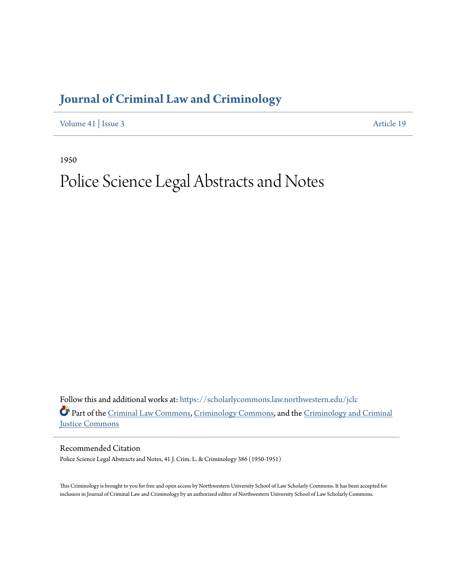## **[Journal of Criminal Law and Criminology](https://scholarlycommons.law.northwestern.edu/jclc?utm_source=scholarlycommons.law.northwestern.edu%2Fjclc%2Fvol41%2Fiss3%2F19&utm_medium=PDF&utm_campaign=PDFCoverPages)**

[Volume 41](https://scholarlycommons.law.northwestern.edu/jclc/vol41?utm_source=scholarlycommons.law.northwestern.edu%2Fjclc%2Fvol41%2Fiss3%2F19&utm_medium=PDF&utm_campaign=PDFCoverPages) | [Issue 3](https://scholarlycommons.law.northwestern.edu/jclc/vol41/iss3?utm_source=scholarlycommons.law.northwestern.edu%2Fjclc%2Fvol41%2Fiss3%2F19&utm_medium=PDF&utm_campaign=PDFCoverPages) [Article 19](https://scholarlycommons.law.northwestern.edu/jclc/vol41/iss3/19?utm_source=scholarlycommons.law.northwestern.edu%2Fjclc%2Fvol41%2Fiss3%2F19&utm_medium=PDF&utm_campaign=PDFCoverPages)

1950

## Police Science Legal Abstracts and Notes

Follow this and additional works at: [https://scholarlycommons.law.northwestern.edu/jclc](https://scholarlycommons.law.northwestern.edu/jclc?utm_source=scholarlycommons.law.northwestern.edu%2Fjclc%2Fvol41%2Fiss3%2F19&utm_medium=PDF&utm_campaign=PDFCoverPages) Part of the [Criminal Law Commons](http://network.bepress.com/hgg/discipline/912?utm_source=scholarlycommons.law.northwestern.edu%2Fjclc%2Fvol41%2Fiss3%2F19&utm_medium=PDF&utm_campaign=PDFCoverPages), [Criminology Commons](http://network.bepress.com/hgg/discipline/417?utm_source=scholarlycommons.law.northwestern.edu%2Fjclc%2Fvol41%2Fiss3%2F19&utm_medium=PDF&utm_campaign=PDFCoverPages), and the [Criminology and Criminal](http://network.bepress.com/hgg/discipline/367?utm_source=scholarlycommons.law.northwestern.edu%2Fjclc%2Fvol41%2Fiss3%2F19&utm_medium=PDF&utm_campaign=PDFCoverPages) [Justice Commons](http://network.bepress.com/hgg/discipline/367?utm_source=scholarlycommons.law.northwestern.edu%2Fjclc%2Fvol41%2Fiss3%2F19&utm_medium=PDF&utm_campaign=PDFCoverPages)

Recommended Citation

Police Science Legal Abstracts and Notes, 41 J. Crim. L. & Criminology 386 (1950-1951)

This Criminology is brought to you for free and open access by Northwestern University School of Law Scholarly Commons. It has been accepted for inclusion in Journal of Criminal Law and Criminology by an authorized editor of Northwestern University School of Law Scholarly Commons.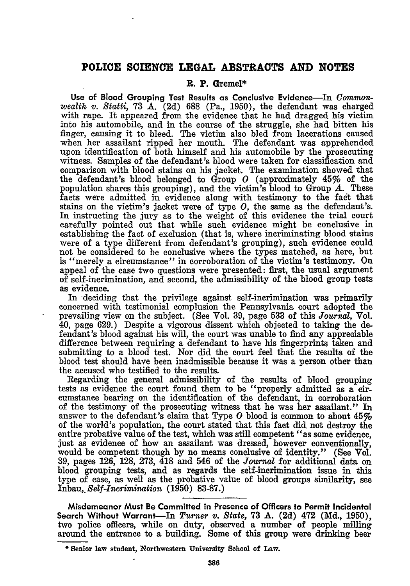## **POLICE SCIENCE LEGAL ABSTRACTS AND NOTES**

## **R. P. Gremel\***

Use of **Blood Grouping Test Results as Conclusive Evidence-In** *Commnonwealth v. Statti,* **73 A. (2d) 688** (Pa., **1950),** the defendant was charged with rape. It appeared from the evidence that he had dragged his victim into his automobile, and in the course of the struggle, she had bitten his finger, causing it to bleed. The victim also bled from lacerations caused when her assailant ripped her mouth. The defendant was apprehended upon identification of both himself and his automobile **by** the prosecuting witness. Samples of the defendant's blood were taken for classification and comparison with blood stains on his jacket. The examination showed that the defendant's blood belonged to Group *0* (approximately 45% of the population shares this grouping), and the victim's blood to Group *A.* These facts were admitted in evidence along with testimony to the faet that stains on the victim's jacket were of type *0,* the same as the defendant's. In instructing the jury as to the weight of this evidence the trial court carefully pointed out that while such evidence might be conclusive in establishing the fact of exclusion (that is, where incriminating blood stains were of a type different from defendant's grouping), such evidence could not be considered to be conclusive where the types matched, as here, but is "merely a circumstance" in corroboration of the victim's testimony. On appeal of the case two questions were presented: first, the usual argument of self-incrimination, and second, the admissibility of the blood group tests as evidence.

In deciding that the privilege against self-incrimination was primarily concerned with testimonial complusion the Pennsylvania court adopted the prevailing view on the subject. (See Vol. **39,** page **533** of this *Journal,* Vol. 40, page  $629$ .) Despite a vigorous dissent which objected to taking the defendant's blood against his will, the court was unable to **find** any appreciable difference between requiring a defendant to have his fingerprints taken and submitting to a blood test. Nor did the court feel that the results of the blood test should have been inadmissible because it was a person other than the accused who testified to the results.

Regarding the general admissibility of the results of blood grouping tests as evidence the court found them to be "properly admitted as a circumstance bearing on the identification of the defendant, in corroboration of the testimony of the prosecuting witness that he was her assailant." In answer to the defendant's claim that Type *0* blood is common to about 45% of the world's population, the court stated that this fact did not destroy the entire probative value of the test, which was still competent "as some evidence, just as evidence of how an assailant was dressed, however conventionally, would be competent though **by** no means conclusive of identity." (See Vol. **39,** pages **126, 128, 273,** 418 and 546 of the *Journal* for additional data on blood grouping tests, and as regards the self-incrimination issue in this type of case, as well as the probative value of blood groups similarity, see **Inbau,.** *Self-Incrimination* **(1950) 83-87.)**

**Misdemeanor Must Be Committed in Presence of Officers to Permit Incidental Search Without Warrant-In** *Turner v. State,* **73 A. (2d)** 472 **(Md., 1950),** two police officers, while on duty, observed a number of people milling around the entrance to a building. Some of this group were drinking beer

Senior law student, Northwestern University School of Law.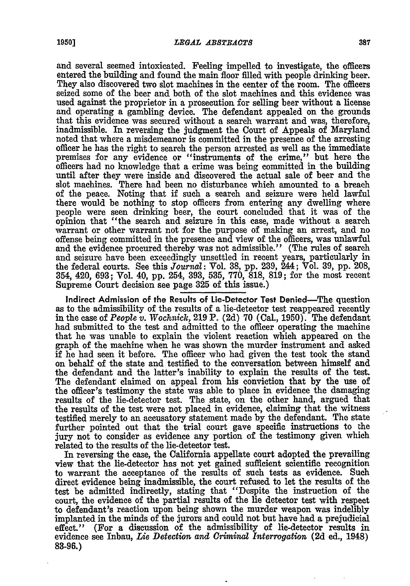and several seemed intoxicated. Feeling impelled to investigate, the officers entered the building and found the main floor filled with people drinking beer. They also discovered two slot machines in the center of the room. The officers seized some of the beer and both of the slot machines and this evidence was used against the proprietor in a prosecution for selling beer without a license and operating a gambling device. The defendant appealed on the grounds that this evidence was secured without a search warrant and was, therefore, inadmissible. In reversing the judgment the Court of Appeals of Maryland noted that where a misdemeanor is committed in the presence of the arresting officer he has the right to search the person arrested as well as the immediate premises for any evidence or "instruments of the crime," but here the officers had no knowledge that a crime was being committed in the building until after they were inside and discovered the actual sale of beer and the slot machines. There had been no disturbance which amounted to a breach of the peace. Noting that if such a search and seizure were held lawful there would be nothing to stop officers from entering any dwelling where people were seen drinking beer, the court concluded that it was of the opinion that "the search and seizure in this case, made without a search warrant or other warrant not for the purpose of making an arrest, and no offense being committed in the presence and view of the officers, was unlawful and the evidence procured thereby was not admissible." (The rules of search and seizure have been exceedingly unsettled in recent years, particularly in the federal courts. See this *Journal:* Vol. **38, pp. 239,** 244; Vol. **39, pp.** 208, 354, 420, **693;** Vol. 40, **pp.** 254, **393, 535, 770, 818, 819;** for the most recent Supreme Court decision see page **325** of this issue.)

Indirect Admission of the Results of Lie-Detector Test Denied-The question as to the admissibility of the results of a lie-detector test reappeared recently in the case of *People v.* Wochnick, **219** P. **(2d) 70** (Cal., **1950).** The defendant had submitted to the test and admitted to the officer operating the machine that he was unable to explain the violent reaction which appeared on the graph of the machine when he was shown the murder instrument and asked if he had seen it before. The officer who had given the test took the stand on behalf of the state and testified to the conversation between himself and the defendant and the latter's inability to explain the results of the test. The defendant claimed on appeal from his conviction that **by** the use of the officer's testimony the state was able to place in evidence the damaging results of the lie-detector test. The state, on the other hand, argued that the results of the test were not placed in evidence, claiming that the witness testified merely to an accusatory statement made **by** the defendant. The state further pointed out that the trial court gave specific instructions to the jury not to consider as evidence any portion of the testimony given which related to the results of the lie-detector test.

In reversing the case, the California appellate court adopted the prevailing view that the lie-detector has not yet gained sufficient scientific recognition to warrant the acceptance of the results of such tests as evidence. Such direct evidence being inadmissible, the court refused to let the results of the test be admitted indirectly, stating that "Despite the instruction of the court, the evidence of the partial results of the lie detector test with respect to defendant's reaction upon being shown the murder weapon was indelibly implanted in the minds of the jurors and could not but have had a prejudicial effect." (For a discussion of the admissibility of lie-detector results in evidence see Inbau, *Lie Detection and Crimina Inter rogation* **(2d** ed., 1948) **83-96.)**